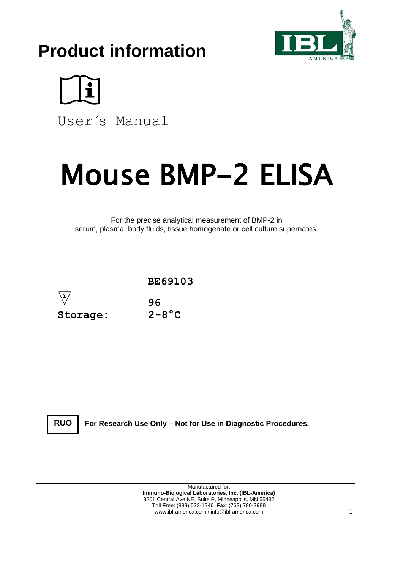# **Product information**





User´s Manual

# Mouse BMP-2 ELISA

For the precise analytical measurement of BMP-2 in serum, plasma, body fluids, tissue homogenate or cell culture supernates.



**RUO**

**For Research Use Only – Not for Use in Diagnostic Procedures.**

Manufactured for: **Immuno-Biological Laboratories, Inc. (IBL-America)** 8201 Central Ave NE, Suite P, Minneapolis, MN 55432 Toll Free: (888) 523-1246 Fax: (763) 780-2988 www.ibl-america.com / info@ibl-america.com 1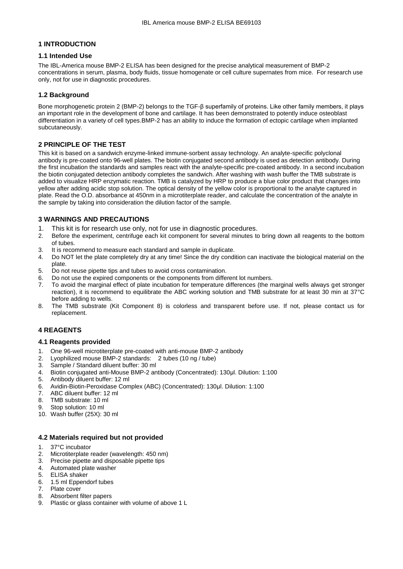# **1 INTRODUCTION**

# **1.1 Intended Use**

The IBL-America mouse BMP-2 ELISA has been designed for the precise analytical measurement of BMP-2 concentrations in serum, plasma, body fluids, tissue homogenate or cell culture supernates from mice. For research use only, not for use in diagnostic procedures.

# **1.2 Background**

Bone morphogenetic protein 2 (BMP-2) belongs to the TGF-β superfamily of proteins. Like other family members, it plays an important role in the development of bone and cartilage. It has been demonstrated to potently induce osteoblast differentiation in a variety of cell types.BMP-2 has an ability to induce the formation of ectopic cartilage when implanted subcutaneously.

# **2 PRINCIPLE OF THE TEST**

This kit is based on a sandwich enzyme-linked immune-sorbent assay technology. An analyte-specific polyclonal antibody is pre-coated onto 96-well plates. The biotin conjugated second antibody is used as detection antibody. During the first incubation the standards and samples react with the analyte-specific pre-coated antibody. In a second incubation the biotin conjugated detection antibody completes the sandwich. After washing with wash buffer the TMB substrate is added to visualize HRP enzymatic reaction. TMB is catalyzed by HRP to produce a blue color product that changes into yellow after adding acidic stop solution. The optical density of the yellow color is proportional to the analyte captured in plate. Read the O.D. absorbance at 450nm in a microtiterplate reader, and calculate the concentration of the analyte in the sample by taking into consideration the dilution factor of the sample.

# **3 WARNINGS AND PRECAUTIONS**

- 1. This kit is for research use only, not for use in diagnostic procedures.
- 2. Before the experiment, centrifuge each kit component for several minutes to bring down all reagents to the bottom of tubes.
- 3. It is recommend to measure each standard and sample in duplicate.
- 4. Do NOT let the plate completely dry at any time! Since the dry condition can inactivate the biological material on the plate.
- 5. Do not reuse pipette tips and tubes to avoid cross contamination.
- 6. Do not use the expired components or the components from different lot numbers.
- 7. To avoid the marginal effect of plate incubation for temperature differences (the marginal wells always get stronger reaction), it is recommend to equilibrate the ABC working solution and TMB substrate for at least 30 min at 37°C before adding to wells.
- 8. The TMB substrate (Kit Component 8) is colorless and transparent before use. If not, please contact us for replacement.

# **4 REAGENTS**

# **4.1 Reagents provided**

- 1. One 96-well microtiterplate pre-coated with anti-mouse BMP-2 antibody
- 2. Lyophilized mouse BMP-2 standards: 2 tubes (10 ng / tube)
- 3. Sample / Standard diluent buffer: 30 ml
- 4. Biotin conjugated anti-Mouse BMP-2 antibody (Concentrated): 130μl. Dilution: 1:100
- 5. Antibody diluent buffer: 12 ml
- 6. Avidin-Biotin-Peroxidase Complex (ABC) (Concentrated): 130μl. Dilution: 1:100
- 7. ABC diluent buffer: 12 ml
- 8. TMB substrate: 10 ml
- 9. Stop solution: 10 ml
- 10. Wash buffer (25X): 30 ml

# **4.2 Materials required but not provided**

- 1. 37°C incubator
- 2. Microtiterplate reader (wavelength: 450 nm)
- 3. Precise pipette and disposable pipette tips
- 4. Automated plate washer
- 
- 5. ELISA shaker<br>6. 1.5 ml Eppend<br>7. Plate cover 6. 1.5 ml Eppendorf tubes
- Plate cover
- 8. Absorbent filter papers
- 9. Plastic or glass container with volume of above 1 L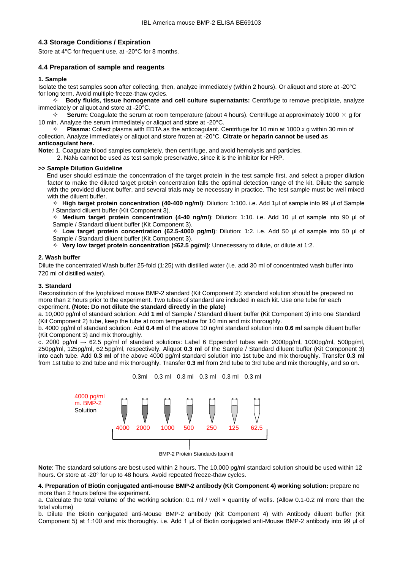# **4.3 Storage Conditions / Expiration**

Store at 4°C for frequent use, at -20°C for 8 months.

# **4.4 Preparation of sample and reagents**

#### **1. Sample**

Isolate the test samples soon after collecting, then, analyze immediately (within 2 hours). Or aliquot and store at -20°C for long term. Avoid multiple freeze-thaw cycles.

 **Body fluids, tissue homogenate and cell culture supernatants:** Centrifuge to remove precipitate, analyze immediately or aliquot and store at -20°C.

 $\div$  **Serum:** Coagulate the serum at room temperature (about 4 hours). Centrifuge at approximately 1000  $\times$  g for 10 min. Analyze the serum immediately or aliquot and store at -20°C.

 $\div$  **Plasma:** Collect plasma with EDTA as the anticoagulant. Centrifuge for 10 min at 1000 x g within 30 min of collection. Analyze immediately or aliquot and store frozen at -20°C. **Citrate or heparin cannot be used as anticoagulant here.**

**Note:** 1. Coagulate blood samples completely, then centrifuge, and avoid hemolysis and particles.

2.  $\text{NaN}_3$  cannot be used as test sample preservative, since it is the inhibitor for HRP.

#### **>> Sample Dilution Guideline**

End user should estimate the concentration of the target protein in the test sample first, and select a proper dilution factor to make the diluted target protein concentration falls the optimal detection range of the kit. Dilute the sample with the provided diluent buffer, and several trials may be necessary in practice. The test sample must be well mixed with the diluent buffer.

 **High target protein concentration (40-400 ng/ml)**: Dilution: 1:100. i.e. Add 1μl of sample into 99 μl of Sample / Standard diluent buffer (Kit Component 3).

 **Medium target protein concentration (4-40 ng/ml)**: Dilution: 1:10. i.e. Add 10 μl of sample into 90 μl of Sample / Standard diluent buffer (Kit Component 3).

 **Low target protein concentration (62.5-4000 pg/ml)**: Dilution: 1:2. i.e. Add 50 μl of sample into 50 μl of Sample / Standard diluent buffer (Kit Component 3).

**Very low target protein concentration (≤62.5 pg/ml)**: Unnecessary to dilute, or dilute at 1:2.

#### **2. Wash buffer**

Dilute the concentrated Wash buffer 25-fold (1:25) with distilled water (i.e. add 30 ml of concentrated wash buffer into 720 ml of distilled water).

#### **3. Standard**

Reconstitution of the lyophilized mouse BMP-2 standard (Kit Component 2): standard solution should be prepared no more than 2 hours prior to the experiment. Two tubes of standard are included in each kit. Use one tube for each experiment. **(Note: Do not dilute the standard directly in the plate)**

a. 10,000 pg/ml of standard solution: Add **1 ml** of Sample / Standard diluent buffer (Kit Component 3) into one Standard (Kit Component 2) tube, keep the tube at room temperature for 10 min and mix thoroughly.

b. 4000 pg/ml of standard solution: Add **0.4 ml** of the above 10 ng/ml standard solution into **0.6 ml** sample diluent buffer (Kit Component 3) and mix thoroughly.

c. 2000 pg/ml  $\rightarrow$  62.5 pg/ml of standard solutions: Label 6 Eppendorf tubes with 2000pg/ml, 1000pg/ml, 500pg/ml, 250pg/ml, 125pg/ml, 62.5pg/ml, respectively. Aliquot **0.3 ml** of the Sample / Standard diluent buffer (Kit Component 3) into each tube. Add **0.3 ml** of the above 4000 pg/ml standard solution into 1st tube and mix thoroughly. Transfer **0.3 ml** from 1st tube to 2nd tube and mix thoroughly. Transfer **0.3 ml** from 2nd tube to 3rd tube and mix thoroughly, and so on.



BMP-2 Protein Standards [pg/ml]

**Note**: The standard solutions are best used within 2 hours. The 10,000 pg/ml standard solution should be used within 12 hours. Or store at -20° for up to 48 hours. Avoid repeated freeze-thaw cycles.

#### **4. Preparation of Biotin conjugated anti-mouse BMP-2 antibody (Kit Component 4) working solution:** prepare no more than 2 hours before the experiment.

a. Calculate the total volume of the working solution: 0.1 ml / well x quantity of wells. (Allow 0.1-0.2 ml more than the total volume)

b. Dilute the Biotin conjugated anti-Mouse BMP-2 antibody (Kit Component 4) with Antibody diluent buffer (Kit Component 5) at 1:100 and mix thoroughly. i.e. Add 1 μl of Biotin conjugated anti-Mouse BMP-2 antibody into 99 μl of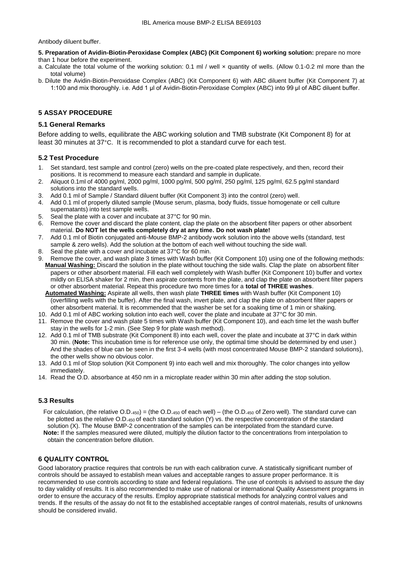Antibody diluent buffer.

**5. Preparation of Avidin-Biotin-Peroxidase Complex (ABC) (Kit Component 6) working solution:** prepare no more than 1 hour before the experiment.

- a. Calculate the total volume of the working solution: 0.1 ml / well x quantity of wells. (Allow 0.1-0.2 ml more than the total volume)
- b. Dilute the Avidin-Biotin-Peroxidase Complex (ABC) (Kit Component 6) with ABC diluent buffer (Kit Component 7) at 1:100 and mix thoroughly. i.e. Add 1 μl of Avidin-Biotin-Peroxidase Complex (ABC) into 99 μl of ABC diluent buffer.

# **5 ASSAY PROCEDURE**

## **5.1 General Remarks**

Before adding to wells, equilibrate the ABC working solution and TMB substrate (Kit Component 8) for at least 30 minutes at 37°C. It is recommended to plot a standard curve for each test.

# **5.2 Test Procedure**

- 1. Set standard, test sample and control (zero) wells on the pre-coated plate respectively, and then, record their positions. It is recommend to measure each standard and sample in duplicate.
- 2. Aliquot 0.1ml of 4000 pg/ml, 2000 pg/ml, 1000 pg/ml, 500 pg/ml, 250 pg/ml, 125 pg/ml, 62.5 pg/ml standard solutions into the standard wells.
- 3. Add 0.1 ml of Sample / Standard diluent buffer (Kit Component 3) into the control (zero) well.
- 4. Add 0.1 ml of properly diluted sample (Mouse serum, plasma, body fluids, tissue homogenate or cell culture supernatants) into test sample wells.
- 
- 5. Seal the plate with a cover and incubate at  $37^{\circ}$ C for 90 min.<br>6. Remove the cover and discard the plate content, clan the pla Remove the cover and discard the plate content, clap the plate on the absorbent filter papers or other absorbent material. **Do NOT let the wells completely dry at any time. Do not wash plate!**
- 7. Add 0.1 ml of Biotin conjugated anti-Mouse BMP-2 antibody work solution into the above wells (standard, test sample & zero wells). Add the solution at the bottom of each well without touching the side wall.
- 8. Seal the plate with a cover and incubate at 37°C for 60 min.
- 9. Remove the cover, and wash plate 3 times with Wash buffer (Kit Component 10) using one of the following methods: **Manual Washing:** Discard the solution in the plate without touching the side walls. Clap the plate on absorbent filter papers or other absorbent material. Fill each well completely with Wash buffer (Kit Component 10) buffer and vortex mildly on ELISA shaker for 2 min, then aspirate contents from the plate, and clap the plate on absorbent filter papers or other absorbent material. Repeat this procedure two more times for a **total of THREE washes**.
	- **Automated Washing:** Aspirate all wells, then wash plate **THREE times** with Wash buffer (Kit Component 10) (overfilling wells with the buffer). After the final wash, invert plate, and clap the plate on absorbent filter papers or other absorbent material. It is recommended that the washer be set for a soaking time of 1 min or shaking.
- 10. Add 0.1 ml of ABC working solution into each well, cover the plate and incubate at 37°C for 30 min.
- 11. Remove the cover and wash plate 5 times with Wash buffer (Kit Component 10), and each time let the wash buffer stay in the wells for 1-2 min. (See Step 9 for plate wash method).
- 12. Add 0.1 ml of TMB substrate (Kit Component 8) into each well, cover the plate and incubate at 37°C in dark within 30 min. (**Note:** This incubation time is for reference use only, the optimal time should be determined by end user.) And the shades of blue can be seen in the first 3-4 wells (with most concentrated Mouse BMP-2 standard solutions), the other wells show no obvious color.
- 13. Add 0.1 ml of Stop solution (Kit Component 9) into each well and mix thoroughly. The color changes into yellow immediately.
- 14. Read the O.D. absorbance at 450 nm in a microplate reader within 30 min after adding the stop solution.

# **5.3 Results**

 For calculation, (the relative O.D.450) = (the O.D.<sup>450</sup> of each well) – (the O.D.<sup>450</sup> of Zero well). The standard curve can be plotted as the relative O.D.450 of each standard solution (Y) vs. the respective concentration of the standard solution (X). The Mouse BMP-2 concentration of the samples can be interpolated from the standard curve.  **Note:** If the samples measured were diluted, multiply the dilution factor to the concentrations from interpolation to obtain the concentration before dilution.

# **6 QUALITY CONTROL**

Good laboratory practice requires that controls be run with each calibration curve. A statistically significant number of controls should be assayed to establish mean values and acceptable ranges to assure proper performance. It is recommended to use controls according to state and federal regulations. The use of controls is advised to assure the day to day validity of results. It is also recommended to make use of national or international Quality Assessment programs in order to ensure the accuracy of the results. Employ appropriate statistical methods for analyzing control values and trends. If the results of the assay do not fit to the established acceptable ranges of control materials, results of unknowns should be considered invalid.